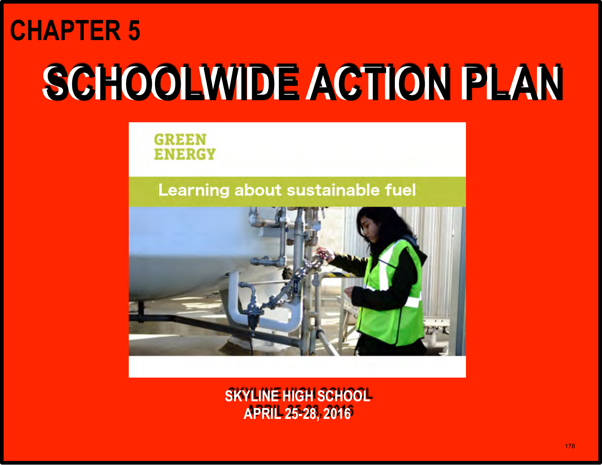## **CHAPTER 5**

# **SCHOOLWIDE ACTION PLAN SCHOOLWIDE ACTION PLAN**

**GREEN ENERGY** 

### Learning about sustainable fuel



**SKYLINE HIGH SCHOOL APRIL 25-28, 2016**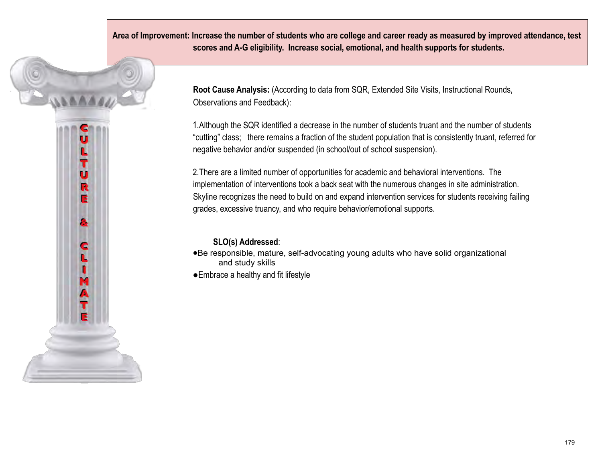**Area of Improvement: Increase the number of students who are college and career ready as measured by improved attendance, test scores and A-G eligibility. Increase social, emotional, and health supports for students.**

> **Root Cause Analysis:** (According to data from SQR, Extended Site Visits, Instructional Rounds, Observations and Feedback):

1.Although the SQR identified a decrease in the number of students truant and the number of students "cutting" class; there remains a fraction of the student population that is consistently truant, referred for negative behavior and/or suspended (in school/out of school suspension).

2.There are a limited number of opportunities for academic and behavioral interventions. The implementation of interventions took a back seat with the numerous changes in site administration. Skyline recognizes the need to build on and expand intervention services for students receiving failing grades, excessive truancy, and who require behavior/emotional supports.

#### **SLO(s) Addressed**:

LTURE

a

¢

**Link** 

●Be responsible, mature, self-advocating young adults who have solid organizational and study skills ●Embrace a healthy and fit lifestyle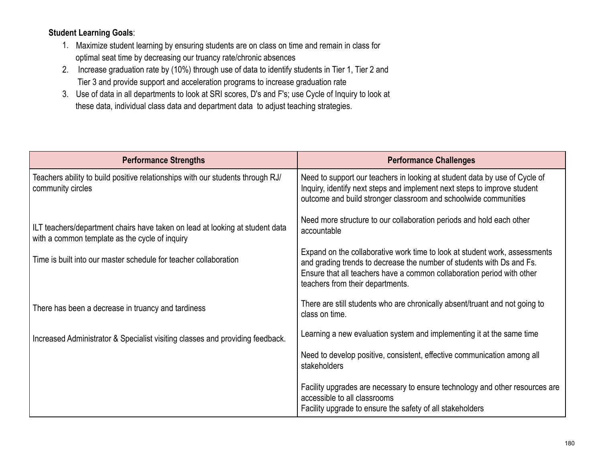#### **Student Learning Goals**:

- 1. Maximize student learning by ensuring students are on class on time and remain in class for optimal seat time by decreasing our truancy rate/chronic absences
- 2. Increase graduation rate by (10%) through use of data to identify students in Tier 1, Tier 2 and Tier 3 and provide support and acceleration programs to increase graduation rate
- 3. Use of data in all departments to look at SRI scores, D's and F's; use Cycle of Inquiry to look at these data, individual class data and department data to adjust teaching strategies.

| <b>Performance Strengths</b>                                                                                                   | <b>Performance Challenges</b>                                                                                                                                                                                                                                     |
|--------------------------------------------------------------------------------------------------------------------------------|-------------------------------------------------------------------------------------------------------------------------------------------------------------------------------------------------------------------------------------------------------------------|
| Teachers ability to build positive relationships with our students through RJ/<br>community circles                            | Need to support our teachers in looking at student data by use of Cycle of<br>Inquiry, identify next steps and implement next steps to improve student<br>outcome and build stronger classroom and schoolwide communities                                         |
| ILT teachers/department chairs have taken on lead at looking at student data<br>with a common template as the cycle of inquiry | Need more structure to our collaboration periods and hold each other<br>accountable                                                                                                                                                                               |
| Time is built into our master schedule for teacher collaboration                                                               | Expand on the collaborative work time to look at student work, assessments<br>and grading trends to decrease the number of students with Ds and Fs.<br>Ensure that all teachers have a common collaboration period with other<br>teachers from their departments. |
| There has been a decrease in truancy and tardiness                                                                             | There are still students who are chronically absent/truant and not going to<br>class on time.                                                                                                                                                                     |
| Increased Administrator & Specialist visiting classes and providing feedback.                                                  | Learning a new evaluation system and implementing it at the same time                                                                                                                                                                                             |
|                                                                                                                                | Need to develop positive, consistent, effective communication among all<br>stakeholders                                                                                                                                                                           |
|                                                                                                                                | Facility upgrades are necessary to ensure technology and other resources are<br>accessible to all classrooms<br>Facility upgrade to ensure the safety of all stakeholders                                                                                         |
|                                                                                                                                |                                                                                                                                                                                                                                                                   |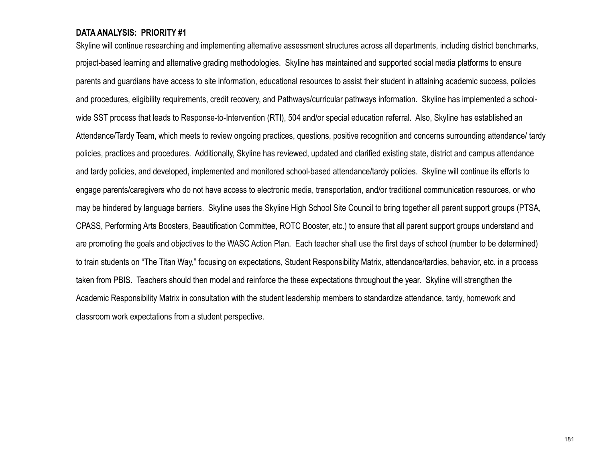#### **DATA ANALYSIS: PRIORITY #1**

Skyline will continue researching and implementing alternative assessment structures across all departments, including district benchmarks, project-based learning and alternative grading methodologies. Skyline has maintained and supported social media platforms to ensure parents and guardians have access to site information, educational resources to assist their student in attaining academic success, policies and procedures, eligibility requirements, credit recovery, and Pathways/curricular pathways information. Skyline has implemented a schoolwide SST process that leads to Response-to-Intervention (RTI), 504 and/or special education referral. Also, Skyline has established an Attendance/Tardy Team, which meets to review ongoing practices, questions, positive recognition and concerns surrounding attendance/ tardy policies, practices and procedures. Additionally, Skyline has reviewed, updated and clarified existing state, district and campus attendance and tardy policies, and developed, implemented and monitored school-based attendance/tardy policies. Skyline will continue its efforts to engage parents/caregivers who do not have access to electronic media, transportation, and/or traditional communication resources, or who may be hindered by language barriers. Skyline uses the Skyline High School Site Council to bring together all parent support groups (PTSA, CPASS, Performing Arts Boosters, Beautification Committee, ROTC Booster, etc.) to ensure that all parent support groups understand and are promoting the goals and objectives to the WASC Action Plan. Each teacher shall use the first days of school (number to be determined) to train students on "The Titan Way," focusing on expectations, Student Responsibility Matrix, attendance/tardies, behavior, etc. in a process taken from PBIS. Teachers should then model and reinforce the these expectations throughout the year. Skyline will strengthen the Academic Responsibility Matrix in consultation with the student leadership members to standardize attendance, tardy, homework and classroom work expectations from a student perspective.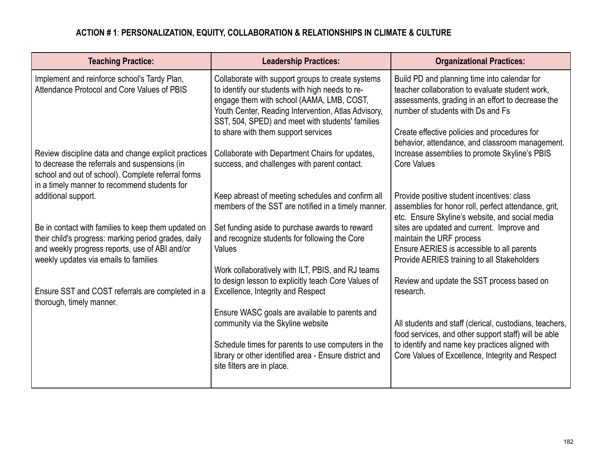#### **ACTION # 1**: **PERSONALIZATION, EQUITY, COLLABORATION & RELATIONSHIPS IN CLIMATE & CULTURE**

| <b>Leadership Practices:</b>                                                                                                                                                                                                                                                                        | <b>Organizational Practices:</b>                                                                                                                                                                                                                                                             |
|-----------------------------------------------------------------------------------------------------------------------------------------------------------------------------------------------------------------------------------------------------------------------------------------------------|----------------------------------------------------------------------------------------------------------------------------------------------------------------------------------------------------------------------------------------------------------------------------------------------|
| Collaborate with support groups to create systems<br>to identify our students with high needs to re-<br>engage them with school (AAMA, LMB, COST,<br>Youth Center, Reading Intervention, Atlas Advisory,<br>SST, 504, SPED) and meet with students' families<br>to share with them support services | Build PD and planning time into calendar for<br>teacher collaboration to evaluate student work,<br>assessments, grading in an effort to decrease the<br>number of students with Ds and Fs<br>Create effective policies and procedures for<br>behavior, attendance, and classroom management. |
| Collaborate with Department Chairs for updates,<br>success, and challenges with parent contact.                                                                                                                                                                                                     | Increase assemblies to promote Skyline's PBIS<br><b>Core Values</b>                                                                                                                                                                                                                          |
| Keep abreast of meeting schedules and confirm all<br>members of the SST are notified in a timely manner.                                                                                                                                                                                            | Provide positive student incentives: class<br>assemblies for honor roll, perfect attendance, grit,<br>etc. Ensure Skyline's website, and social media                                                                                                                                        |
| Set funding aside to purchase awards to reward<br>and recognize students for following the Core<br>Values                                                                                                                                                                                           | sites are updated and current. Improve and<br>maintain the URF process<br>Ensure AERIES is accessible to all parents<br>Provide AERIES training to all Stakeholders                                                                                                                          |
| Work collaboratively with ILT, PBIS, and RJ teams<br>to design lesson to explicitly teach Core Values of<br>Excellence, Integrity and Respect                                                                                                                                                       | Review and update the SST process based on<br>research.                                                                                                                                                                                                                                      |
| Ensure WASC goals are available to parents and<br>community via the Skyline website<br>Schedule times for parents to use computers in the<br>library or other identified area - Ensure district and<br>site filters are in place.                                                                   | All students and staff (clerical, custodians, teachers,<br>food services, and other support staff) will be able<br>to identify and name key practices aligned with<br>Core Values of Excellence, Integrity and Respect                                                                       |
|                                                                                                                                                                                                                                                                                                     |                                                                                                                                                                                                                                                                                              |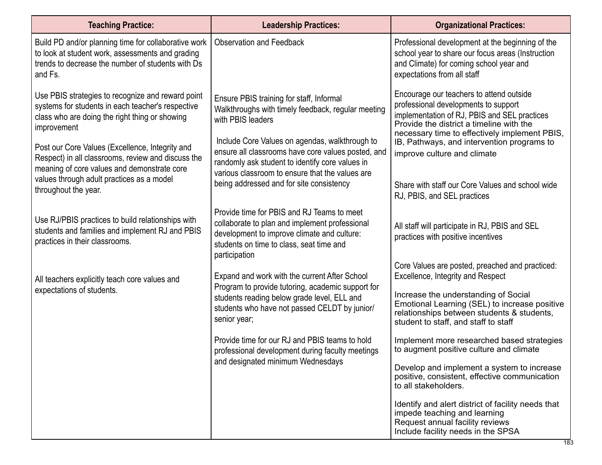| <b>Teaching Practice:</b>                                                                                                                                                                         | <b>Leadership Practices:</b>                                                                                                                                                                               | <b>Organizational Practices:</b>                                                                                                                                                                                              |
|---------------------------------------------------------------------------------------------------------------------------------------------------------------------------------------------------|------------------------------------------------------------------------------------------------------------------------------------------------------------------------------------------------------------|-------------------------------------------------------------------------------------------------------------------------------------------------------------------------------------------------------------------------------|
| Build PD and/or planning time for collaborative work<br>to look at student work, assessments and grading<br>trends to decrease the number of students with Ds<br>and Fs.                          | <b>Observation and Feedback</b>                                                                                                                                                                            | Professional development at the beginning of the<br>school year to share our focus areas (Instruction<br>and Climate) for coming school year and<br>expectations from all staff                                               |
| Use PBIS strategies to recognize and reward point<br>systems for students in each teacher's respective<br>class who are doing the right thing or showing<br>improvement                           | Ensure PBIS training for staff, Informal<br>Walkthroughs with timely feedback, regular meeting<br>with PBIS leaders                                                                                        | Encourage our teachers to attend outside<br>professional developments to support<br>implementation of RJ, PBIS and SEL practices<br>Provide the district a timeline with the<br>necessary time to effectively implement PBIS, |
| Post our Core Values (Excellence, Integrity and<br>Respect) in all classrooms, review and discuss the<br>meaning of core values and demonstrate core<br>values through adult practices as a model | Include Core Values on agendas, walkthrough to<br>ensure all classrooms have core values posted, and<br>randomly ask student to identify core values in<br>various classroom to ensure that the values are | IB, Pathways, and intervention programs to<br>improve culture and climate                                                                                                                                                     |
| throughout the year.                                                                                                                                                                              | being addressed and for site consistency                                                                                                                                                                   | Share with staff our Core Values and school wide<br>RJ, PBIS, and SEL practices                                                                                                                                               |
| Use RJ/PBIS practices to build relationships with<br>students and families and implement RJ and PBIS<br>practices in their classrooms.                                                            | Provide time for PBIS and RJ Teams to meet<br>collaborate to plan and implement professional<br>development to improve climate and culture:<br>students on time to class, seat time and<br>participation   | All staff will participate in RJ, PBIS and SEL<br>practices with positive incentives                                                                                                                                          |
| All teachers explicitly teach core values and                                                                                                                                                     | Expand and work with the current After School                                                                                                                                                              | Core Values are posted, preached and practiced:<br>Excellence, Integrity and Respect                                                                                                                                          |
| expectations of students.                                                                                                                                                                         | Program to provide tutoring, academic support for<br>students reading below grade level, ELL and<br>students who have not passed CELDT by junior/<br>senior year;                                          | Increase the understanding of Social<br>Emotional Learning (SEL) to increase positive<br>relationships between students & students,<br>student to staff, and staff to staff                                                   |
|                                                                                                                                                                                                   | Provide time for our RJ and PBIS teams to hold<br>professional development during faculty meetings                                                                                                         | Implement more researched based strategies<br>to augment positive culture and climate                                                                                                                                         |
|                                                                                                                                                                                                   | and designated minimum Wednesdays                                                                                                                                                                          | Develop and implement a system to increase<br>positive, consistent, effective communication<br>to all stakeholders.                                                                                                           |
|                                                                                                                                                                                                   |                                                                                                                                                                                                            | Identify and alert district of facility needs that<br>impede teaching and learning<br>Request annual facility reviews<br>Include facility needs in the SPSA                                                                   |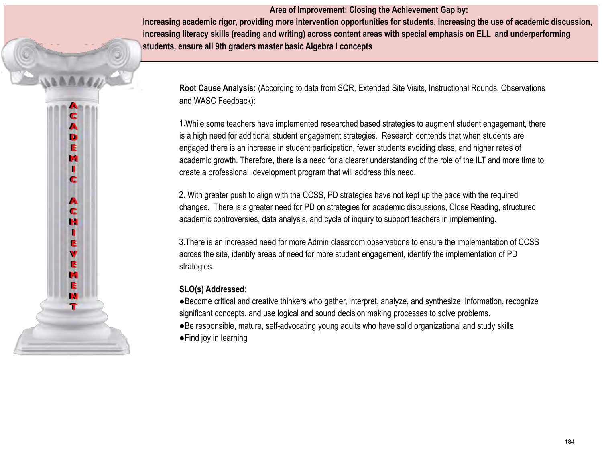**Area of Improvement: Closing the Achievement Gap by: Increasing academic rigor, providing more intervention opportunities for students, increasing the use of academic discussion, increasing literacy skills (reading and writing) across content areas with special emphasis on ELL and underperforming students, ensure all 9th graders master basic Algebra I concepts**

**Root Cause Analysis:** (According to data from SQR, Extended Site Visits, Instructional Rounds, Observations and WASC Feedback):

1.While some teachers have implemented researched based strategies to augment student engagement, there is a high need for additional student engagement strategies. Research contends that when students are engaged there is an increase in student participation, fewer students avoiding class, and higher rates of academic growth. Therefore, there is a need for a clearer understanding of the role of the ILT and more time to create a professional development program that will address this need.

2. With greater push to align with the CCSS, PD strategies have not kept up the pace with the required changes. There is a greater need for PD on strategies for academic discussions, Close Reading, structured academic controversies, data analysis, and cycle of inquiry to support teachers in implementing.

3.There is an increased need for more Admin classroom observations to ensure the implementation of CCSS across the site, identify areas of need for more student engagement, identify the implementation of PD strategies.

#### **SLO(s) Addressed**:

c  $\blacktriangle$ D E M П c

A c н

E  $\mathbf v$ E m E M т

●Become critical and creative thinkers who gather, interpret, analyze, and synthesize information, recognize significant concepts, and use logical and sound decision making processes to solve problems. ●Be responsible, mature, self-advocating young adults who have solid organizational and study skills ●Find joy in learning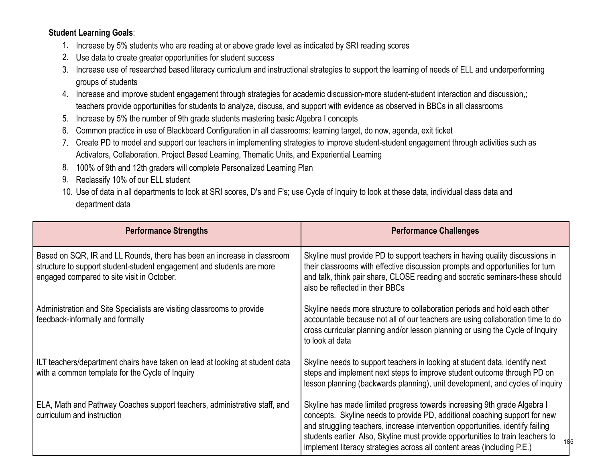#### **Student Learning Goals**:

- 1. Increase by 5% students who are reading at or above grade level as indicated by SRI reading scores
- 2. Use data to create greater opportunities for student success
- 3. Increase use of researched based literacy curriculum and instructional strategies to support the learning of needs of ELL and underperforming groups of students
- 4. Increase and improve student engagement through strategies for academic discussion-more student-student interaction and discussion,; teachers provide opportunities for students to analyze, discuss, and support with evidence as observed in BBCs in all classrooms
- 5. Increase by 5% the number of 9th grade students mastering basic Algebra I concepts
- 6. Common practice in use of Blackboard Configuration in all classrooms: learning target, do now, agenda, exit ticket
- 7. Create PD to model and support our teachers in implementing strategies to improve student-student engagement through activities such as Activators, Collaboration, Project Based Learning, Thematic Units, and Experiential Learning
- 8. 100% of 9th and 12th graders will complete Personalized Learning Plan
- 9. Reclassify 10% of our ELL student
- 10. Use of data in all departments to look at SRI scores, D's and F's; use Cycle of Inquiry to look at these data, individual class data and department data

| <b>Performance Strengths</b>                                                                                                                                                                   | <b>Performance Challenges</b>                                                                                                                                                                                                                                                                                                                                                                                |
|------------------------------------------------------------------------------------------------------------------------------------------------------------------------------------------------|--------------------------------------------------------------------------------------------------------------------------------------------------------------------------------------------------------------------------------------------------------------------------------------------------------------------------------------------------------------------------------------------------------------|
| Based on SQR, IR and LL Rounds, there has been an increase in classroom<br>structure to support student-student engagement and students are more<br>engaged compared to site visit in October. | Skyline must provide PD to support teachers in having quality discussions in<br>their classrooms with effective discussion prompts and opportunities for turn<br>and talk, think pair share, CLOSE reading and socratic seminars-these should<br>also be reflected in their BBCs                                                                                                                             |
| Administration and Site Specialists are visiting classrooms to provide<br>feedback-informally and formally                                                                                     | Skyline needs more structure to collaboration periods and hold each other<br>accountable because not all of our teachers are using collaboration time to do<br>cross curricular planning and/or lesson planning or using the Cycle of Inquiry<br>to look at data                                                                                                                                             |
| ILT teachers/department chairs have taken on lead at looking at student data<br>with a common template for the Cycle of Inquiry                                                                | Skyline needs to support teachers in looking at student data, identify next<br>steps and implement next steps to improve student outcome through PD on<br>lesson planning (backwards planning), unit development, and cycles of inquiry                                                                                                                                                                      |
| ELA, Math and Pathway Coaches support teachers, administrative staff, and<br>curriculum and instruction                                                                                        | Skyline has made limited progress towards increasing 9th grade Algebra I<br>concepts. Skyline needs to provide PD, additional coaching support for new<br>and struggling teachers, increase intervention opportunities, identify failing<br>students earlier Also, Skyline must provide opportunities to train teachers to<br>185<br>implement literacy strategies across all content areas (including P.E.) |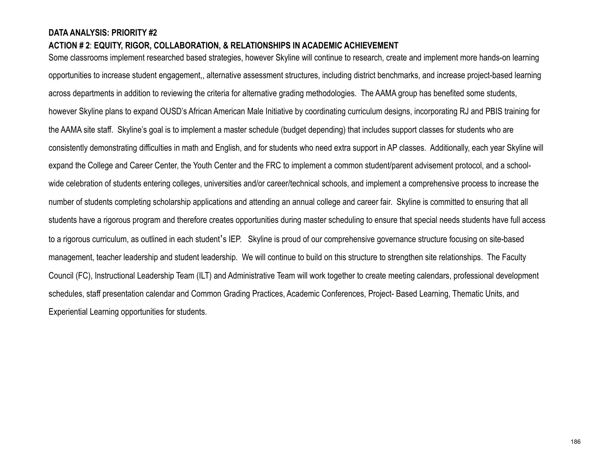#### **DATA ANALYSIS: PRIORITY #2 ACTION # 2**: **EQUITY, RIGOR, COLLABORATION, & RELATIONSHIPS IN ACADEMIC ACHIEVEMENT**

Some classrooms implement researched based strategies, however Skyline will continue to research, create and implement more hands-on learning opportunities to increase student engagement,, alternative assessment structures, including district benchmarks, and increase project-based learning across departments in addition to reviewing the criteria for alternative grading methodologies. The AAMA group has benefited some students, however Skyline plans to expand OUSD's African American Male Initiative by coordinating curriculum designs, incorporating RJ and PBIS training for the AAMA site staff. Skyline's goal is to implement a master schedule (budget depending) that includes support classes for students who are consistently demonstrating difficulties in math and English, and for students who need extra support in AP classes. Additionally, each year Skyline will expand the College and Career Center, the Youth Center and the FRC to implement a common student/parent advisement protocol, and a schoolwide celebration of students entering colleges, universities and/or career/technical schools, and implement a comprehensive process to increase the number of students completing scholarship applications and attending an annual college and career fair. Skyline is committed to ensuring that all students have a rigorous program and therefore creates opportunities during master scheduling to ensure that special needs students have full access to a rigorous curriculum, as outlined in each student's IEP. Skyline is proud of our comprehensive governance structure focusing on site-based management, teacher leadership and student leadership. We will continue to build on this structure to strengthen site relationships. The Faculty Council (FC), Instructional Leadership Team (ILT) and Administrative Team will work together to create meeting calendars, professional development schedules, staff presentation calendar and Common Grading Practices, Academic Conferences, Project- Based Learning, Thematic Units, and Experiential Learning opportunities for students.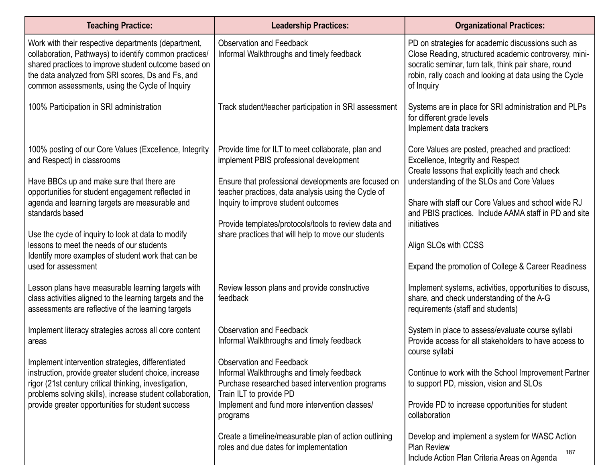| <b>Teaching Practice:</b>                                                                                                                                                                                                                                                                                                                                                                                                                   | <b>Leadership Practices:</b>                                                                                                                                                                                                                                                                                                                                       | <b>Organizational Practices:</b>                                                                                                                                                                                                                                                                                                                                                                 |
|---------------------------------------------------------------------------------------------------------------------------------------------------------------------------------------------------------------------------------------------------------------------------------------------------------------------------------------------------------------------------------------------------------------------------------------------|--------------------------------------------------------------------------------------------------------------------------------------------------------------------------------------------------------------------------------------------------------------------------------------------------------------------------------------------------------------------|--------------------------------------------------------------------------------------------------------------------------------------------------------------------------------------------------------------------------------------------------------------------------------------------------------------------------------------------------------------------------------------------------|
| Work with their respective departments (department,<br>collaboration, Pathways) to identify common practices/<br>shared practices to improve student outcome based on<br>the data analyzed from SRI scores, Ds and Fs, and<br>common assessments, using the Cycle of Inquiry                                                                                                                                                                | <b>Observation and Feedback</b><br>Informal Walkthroughs and timely feedback                                                                                                                                                                                                                                                                                       | PD on strategies for academic discussions such as<br>Close Reading, structured academic controversy, mini-<br>socratic seminar, turn talk, think pair share, round<br>robin, rally coach and looking at data using the Cycle<br>of Inquiry                                                                                                                                                       |
| 100% Participation in SRI administration                                                                                                                                                                                                                                                                                                                                                                                                    | Track student/teacher participation in SRI assessment                                                                                                                                                                                                                                                                                                              | Systems are in place for SRI administration and PLPs<br>for different grade levels<br>Implement data trackers                                                                                                                                                                                                                                                                                    |
| 100% posting of our Core Values (Excellence, Integrity<br>and Respect) in classrooms<br>Have BBCs up and make sure that there are<br>opportunities for student engagement reflected in<br>agenda and learning targets are measurable and<br>standards based<br>Use the cycle of inquiry to look at data to modify<br>lessons to meet the needs of our students<br>Identify more examples of student work that can be<br>used for assessment | Provide time for ILT to meet collaborate, plan and<br>implement PBIS professional development<br>Ensure that professional developments are focused on<br>teacher practices, data analysis using the Cycle of<br>Inquiry to improve student outcomes<br>Provide templates/protocols/tools to review data and<br>share practices that will help to move our students | Core Values are posted, preached and practiced:<br>Excellence, Integrity and Respect<br>Create lessons that explicitly teach and check<br>understanding of the SLOs and Core Values<br>Share with staff our Core Values and school wide RJ<br>and PBIS practices. Include AAMA staff in PD and site<br>initiatives<br>Align SLOs with CCSS<br>Expand the promotion of College & Career Readiness |
| Lesson plans have measurable learning targets with<br>class activities aligned to the learning targets and the<br>assessments are reflective of the learning targets                                                                                                                                                                                                                                                                        | Review lesson plans and provide constructive<br>feedback                                                                                                                                                                                                                                                                                                           | Implement systems, activities, opportunities to discuss,<br>share, and check understanding of the A-G<br>requirements (staff and students)                                                                                                                                                                                                                                                       |
| Implement literacy strategies across all core content<br>areas                                                                                                                                                                                                                                                                                                                                                                              | <b>Observation and Feedback</b><br>Informal Walkthroughs and timely feedback                                                                                                                                                                                                                                                                                       | System in place to assess/evaluate course syllabi<br>Provide access for all stakeholders to have access to<br>course syllabi                                                                                                                                                                                                                                                                     |
| Implement intervention strategies, differentiated<br>instruction, provide greater student choice, increase<br>rigor (21st century critical thinking, investigation,<br>problems solving skills), increase student collaboration,<br>provide greater opportunities for student success                                                                                                                                                       | <b>Observation and Feedback</b><br>Informal Walkthroughs and timely feedback<br>Purchase researched based intervention programs<br>Train ILT to provide PD<br>Implement and fund more intervention classes/<br>programs                                                                                                                                            | Continue to work with the School Improvement Partner<br>to support PD, mission, vision and SLOs<br>Provide PD to increase opportunities for student<br>collaboration                                                                                                                                                                                                                             |
|                                                                                                                                                                                                                                                                                                                                                                                                                                             | Create a timeline/measurable plan of action outlining<br>roles and due dates for implementation                                                                                                                                                                                                                                                                    | Develop and implement a system for WASC Action<br><b>Plan Review</b><br>187<br>Include Action Plan Criteria Areas on Agenda                                                                                                                                                                                                                                                                      |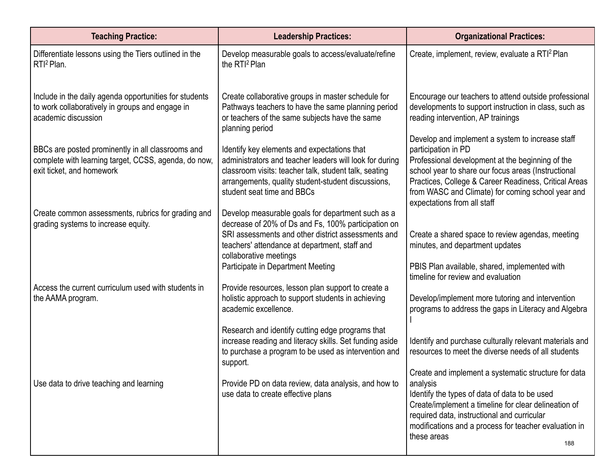| <b>Teaching Practice:</b>                                                                                                              | <b>Leadership Practices:</b>                                                                                                                                                                                                                                                   | <b>Organizational Practices:</b>                                                                                                                                                                                                                                                                                                |
|----------------------------------------------------------------------------------------------------------------------------------------|--------------------------------------------------------------------------------------------------------------------------------------------------------------------------------------------------------------------------------------------------------------------------------|---------------------------------------------------------------------------------------------------------------------------------------------------------------------------------------------------------------------------------------------------------------------------------------------------------------------------------|
| Differentiate lessons using the Tiers outlined in the<br>RTI <sup>2</sup> Plan.                                                        | Develop measurable goals to access/evaluate/refine<br>the RTI <sup>2</sup> Plan                                                                                                                                                                                                | Create, implement, review, evaluate a RTI <sup>2</sup> Plan                                                                                                                                                                                                                                                                     |
| Include in the daily agenda opportunities for students<br>to work collaboratively in groups and engage in<br>academic discussion       | Create collaborative groups in master schedule for<br>Pathways teachers to have the same planning period<br>or teachers of the same subjects have the same<br>planning period                                                                                                  | Encourage our teachers to attend outside professional<br>developments to support instruction in class, such as<br>reading intervention, AP trainings                                                                                                                                                                            |
| BBCs are posted prominently in all classrooms and<br>complete with learning target, CCSS, agenda, do now,<br>exit ticket, and homework | Identify key elements and expectations that<br>administrators and teacher leaders will look for during<br>classroom visits: teacher talk, student talk, seating<br>arrangements, quality student-student discussions,<br>student seat time and BBCs                            | Develop and implement a system to increase staff<br>participation in PD<br>Professional development at the beginning of the<br>school year to share our focus areas (Instructional<br>Practices, College & Career Readiness, Critical Areas<br>from WASC and Climate) for coming school year and<br>expectations from all staff |
| Create common assessments, rubrics for grading and<br>grading systems to increase equity.                                              | Develop measurable goals for department such as a<br>decrease of 20% of Ds and Fs, 100% participation on<br>SRI assessments and other district assessments and<br>teachers' attendance at department, staff and<br>collaborative meetings<br>Participate in Department Meeting | Create a shared space to review agendas, meeting<br>minutes, and department updates<br>PBIS Plan available, shared, implemented with                                                                                                                                                                                            |
| Access the current curriculum used with students in<br>the AAMA program.                                                               | Provide resources, lesson plan support to create a<br>holistic approach to support students in achieving<br>academic excellence.                                                                                                                                               | timeline for review and evaluation<br>Develop/implement more tutoring and intervention<br>programs to address the gaps in Literacy and Algebra                                                                                                                                                                                  |
|                                                                                                                                        | Research and identify cutting edge programs that<br>increase reading and literacy skills. Set funding aside<br>to purchase a program to be used as intervention and<br>support.                                                                                                | Identify and purchase culturally relevant materials and<br>resources to meet the diverse needs of all students                                                                                                                                                                                                                  |
| Use data to drive teaching and learning                                                                                                | Provide PD on data review, data analysis, and how to<br>use data to create effective plans                                                                                                                                                                                     | Create and implement a systematic structure for data<br>analysis<br>Identify the types of data of data to be used<br>Create/implement a timeline for clear delineation of<br>required data, instructional and curricular<br>modifications and a process for teacher evaluation in<br>these areas<br>188                         |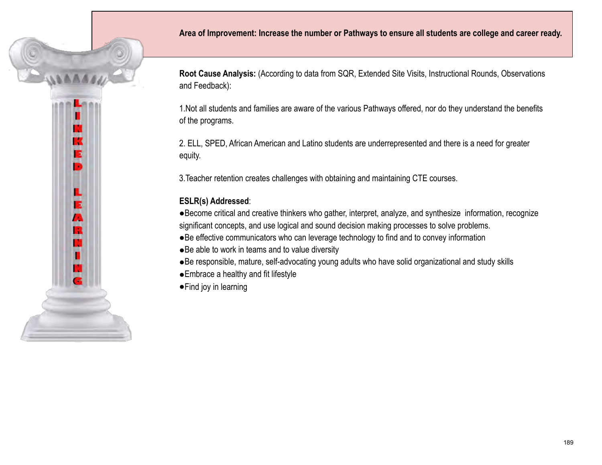

**Root Cause Analysis:** (According to data from SQR, Extended Site Visits, Instructional Rounds, Observations and Feedback):

1.Not all students and families are aware of the various Pathways offered, nor do they understand the benefits of the programs.

2. ELL, SPED, African American and Latino students are underrepresented and there is a need for greater equity.

3.Teacher retention creates challenges with obtaining and maintaining CTE courses.

#### **ESLR(s) Addressed**:

K Е ь

ш Е A R П

●Become critical and creative thinkers who gather, interpret, analyze, and synthesize information, recognize significant concepts, and use logical and sound decision making processes to solve problems.

●Be effective communicators who can leverage technology to find and to convey information

- ●Be able to work in teams and to value diversity
- ●Be responsible, mature, self-advocating young adults who have solid organizational and study skills
- ●Embrace a healthy and fit lifestyle
- ●Find joy in learning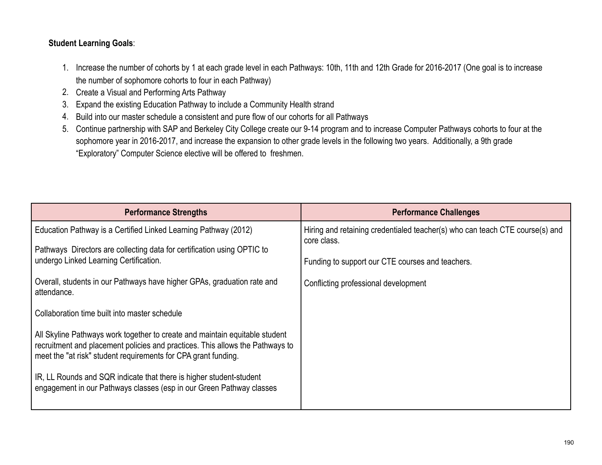#### **Student Learning Goals**:

- 1. Increase the number of cohorts by 1 at each grade level in each Pathways: 10th, 11th and 12th Grade for 2016-2017 (One goal is to increase the number of sophomore cohorts to four in each Pathway)
- 2. Create a Visual and Performing Arts Pathway
- 3. Expand the existing Education Pathway to include a Community Health strand
- 4. Build into our master schedule a consistent and pure flow of our cohorts for all Pathways
- 5. Continue partnership with SAP and Berkeley City College create our 9-14 program and to increase Computer Pathways cohorts to four at the sophomore year in 2016-2017, and increase the expansion to other grade levels in the following two years. Additionally, a 9th grade "Exploratory" Computer Science elective will be offered to freshmen.

| <b>Performance Strengths</b>                                                                                                                                                                                                   | <b>Performance Challenges</b>                                                               |
|--------------------------------------------------------------------------------------------------------------------------------------------------------------------------------------------------------------------------------|---------------------------------------------------------------------------------------------|
| Education Pathway is a Certified Linked Learning Pathway (2012)                                                                                                                                                                | Hiring and retaining credentialed teacher(s) who can teach CTE course(s) and<br>core class. |
| Pathways Directors are collecting data for certification using OPTIC to<br>undergo Linked Learning Certification.                                                                                                              | Funding to support our CTE courses and teachers.                                            |
|                                                                                                                                                                                                                                |                                                                                             |
| Overall, students in our Pathways have higher GPAs, graduation rate and<br>attendance.                                                                                                                                         | Conflicting professional development                                                        |
| Collaboration time built into master schedule                                                                                                                                                                                  |                                                                                             |
| All Skyline Pathways work together to create and maintain equitable student<br>recruitment and placement policies and practices. This allows the Pathways to<br>meet the "at risk" student requirements for CPA grant funding. |                                                                                             |
| IR, LL Rounds and SQR indicate that there is higher student-student<br>engagement in our Pathways classes (esp in our Green Pathway classes                                                                                    |                                                                                             |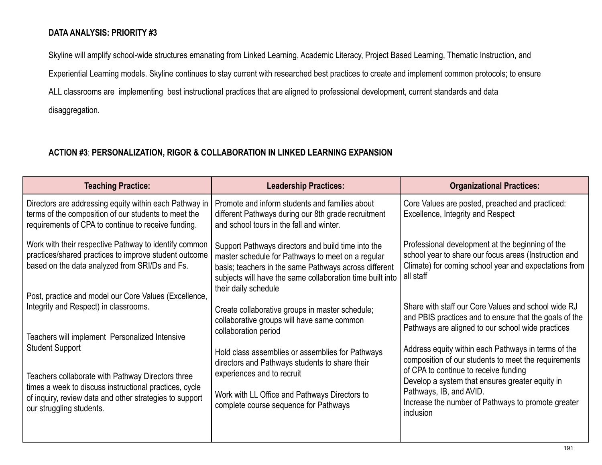#### **DATA ANALYSIS: PRIORITY #3**

Skyline will amplify school-wide structures emanating from Linked Learning, Academic Literacy, Project Based Learning, Thematic Instruction, and

Experiential Learning models. Skyline continues to stay current with researched best practices to create and implement common protocols; to ensure

ALL classrooms are implementing best instructional practices that are aligned to professional development, current standards and data

disaggregation.

#### **ACTION #3**: **PERSONALIZATION, RIGOR & COLLABORATION IN LINKED LEARNING EXPANSION**

| <b>Teaching Practice:</b>                                                                                                                                                                                                    | <b>Leadership Practices:</b>                                                                                                                                                                                                                          | <b>Organizational Practices:</b>                                                                                                                                                                                                                                                                      |
|------------------------------------------------------------------------------------------------------------------------------------------------------------------------------------------------------------------------------|-------------------------------------------------------------------------------------------------------------------------------------------------------------------------------------------------------------------------------------------------------|-------------------------------------------------------------------------------------------------------------------------------------------------------------------------------------------------------------------------------------------------------------------------------------------------------|
| Directors are addressing equity within each Pathway in<br>terms of the composition of our students to meet the<br>requirements of CPA to continue to receive funding.                                                        | Promote and inform students and families about<br>different Pathways during our 8th grade recruitment<br>and school tours in the fall and winter.                                                                                                     | Core Values are posted, preached and practiced:<br>Excellence, Integrity and Respect                                                                                                                                                                                                                  |
| Work with their respective Pathway to identify common<br>practices/shared practices to improve student outcome<br>based on the data analyzed from SRI/Ds and Fs.<br>Post, practice and model our Core Values (Excellence,    | Support Pathways directors and build time into the<br>master schedule for Pathways to meet on a regular<br>basis; teachers in the same Pathways across different<br>subjects will have the same collaboration time built into<br>their daily schedule | Professional development at the beginning of the<br>school year to share our focus areas (Instruction and<br>Climate) for coming school year and expectations from<br>all staff                                                                                                                       |
| Integrity and Respect) in classrooms.<br>Teachers will implement Personalized Intensive                                                                                                                                      | Create collaborative groups in master schedule;<br>collaborative groups will have same common<br>collaboration period                                                                                                                                 | Share with staff our Core Values and school wide RJ<br>and PBIS practices and to ensure that the goals of the<br>Pathways are aligned to our school wide practices                                                                                                                                    |
| <b>Student Support</b><br>Teachers collaborate with Pathway Directors three<br>times a week to discuss instructional practices, cycle<br>of inquiry, review data and other strategies to support<br>our struggling students. | Hold class assemblies or assemblies for Pathways<br>directors and Pathways students to share their<br>experiences and to recruit<br>Work with LL Office and Pathways Directors to<br>complete course sequence for Pathways                            | Address equity within each Pathways in terms of the<br>composition of our students to meet the requirements<br>of CPA to continue to receive funding<br>Develop a system that ensures greater equity in<br>Pathways, IB, and AVID.<br>Increase the number of Pathways to promote greater<br>inclusion |